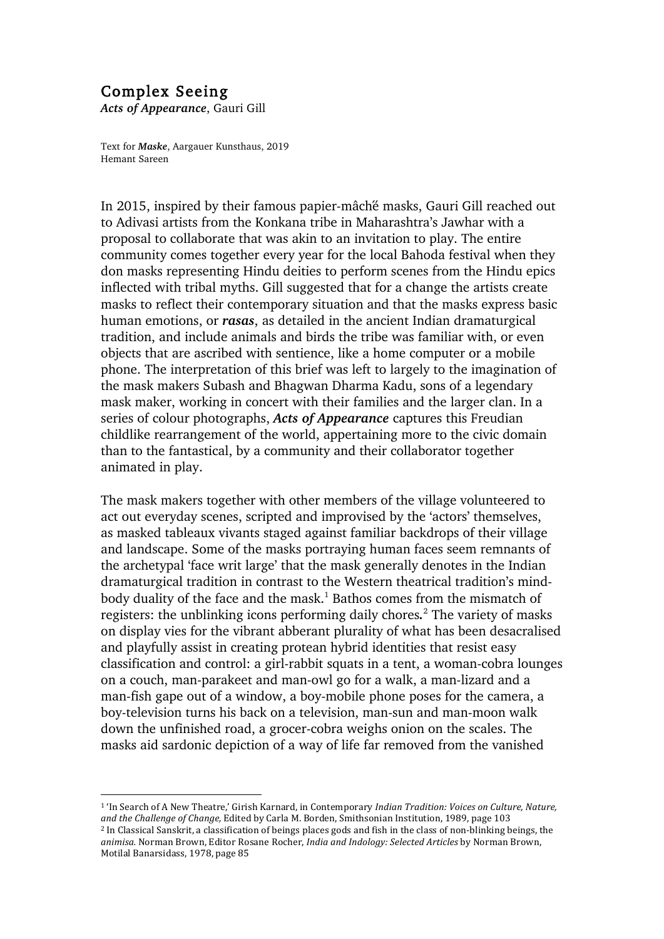## Complex Seeing

*Acts of Appearance*, Gauri Gill

 

Text for *Maske*, Aargauer Kunsthaus, 2019 Hemant Sareen

In 2015, inspired by their famous papier-mâché masks, Gauri Gill reached out to Adivasi artists from the Konkana tribe in Maharashtra's Jawhar with a proposal to collaborate that was akin to an invitation to play. The entire community comes together every year for the local Bahoda festival when they don masks representing Hindu deities to perform scenes from the Hindu epics inflected with tribal myths. Gill suggested that for a change the artists create masks to reflect their contemporary situation and that the masks express basic human emotions, or *rasas*, as detailed in the ancient Indian dramaturgical tradition, and include animals and birds the tribe was familiar with, or even objects that are ascribed with sentience, like a home computer or a mobile phone. The interpretation of this brief was left to largely to the imagination of the mask makers Subash and Bhagwan Dharma Kadu, sons of a legendary mask maker, working in concert with their families and the larger clan. In a series of colour photographs, *Acts of Appearance* captures this Freudian childlike rearrangement of the world, appertaining more to the civic domain than to the fantastical, by a community and their collaborator together animated in play.

The mask makers together with other members of the village volunteered to act out everyday scenes, scripted and improvised by the 'actors' themselves, as masked tableaux vivants staged against familiar backdrops of their village and landscape. Some of the masks portraying human faces seem remnants of the archetypal 'face writ large' that the mask generally denotes in the Indian dramaturgical tradition in contrast to the Western theatrical tradition's mindbody duality of the face and the mask.<sup>1</sup> Bathos comes from the mismatch of registers: the unblinking icons performing daily chores*.* <sup>2</sup> The variety of masks on display vies for the vibrant abberant plurality of what has been desacralised and playfully assist in creating protean hybrid identities that resist easy classification and control: a girl-rabbit squats in a tent, a woman-cobra lounges on a couch, man-parakeet and man-owl go for a walk, a man-lizard and a man-fish gape out of a window, a boy-mobile phone poses for the camera, a boy-television turns his back on a television, man-sun and man-moon walk down the unfinished road, a grocer-cobra weighs onion on the scales. The masks aid sardonic depiction of a way of life far removed from the vanished

<sup>&</sup>lt;sup>1</sup> 'In Search of A New Theatre,' Girish Karnard, in Contemporary *Indian Tradition: Voices on Culture, Nature,* and the Challenge of Change, Edited by Carla M. Borden, Smithsonian Institution, 1989, page 103

<sup>&</sup>lt;sup>2</sup> In Classical Sanskrit, a classification of beings places gods and fish in the class of non-blinking beings, the animisa. Norman Brown, Editor Rosane Rocher, *India and Indology: Selected Articles* by Norman Brown, Motilal Banarsidass, 1978, page 85